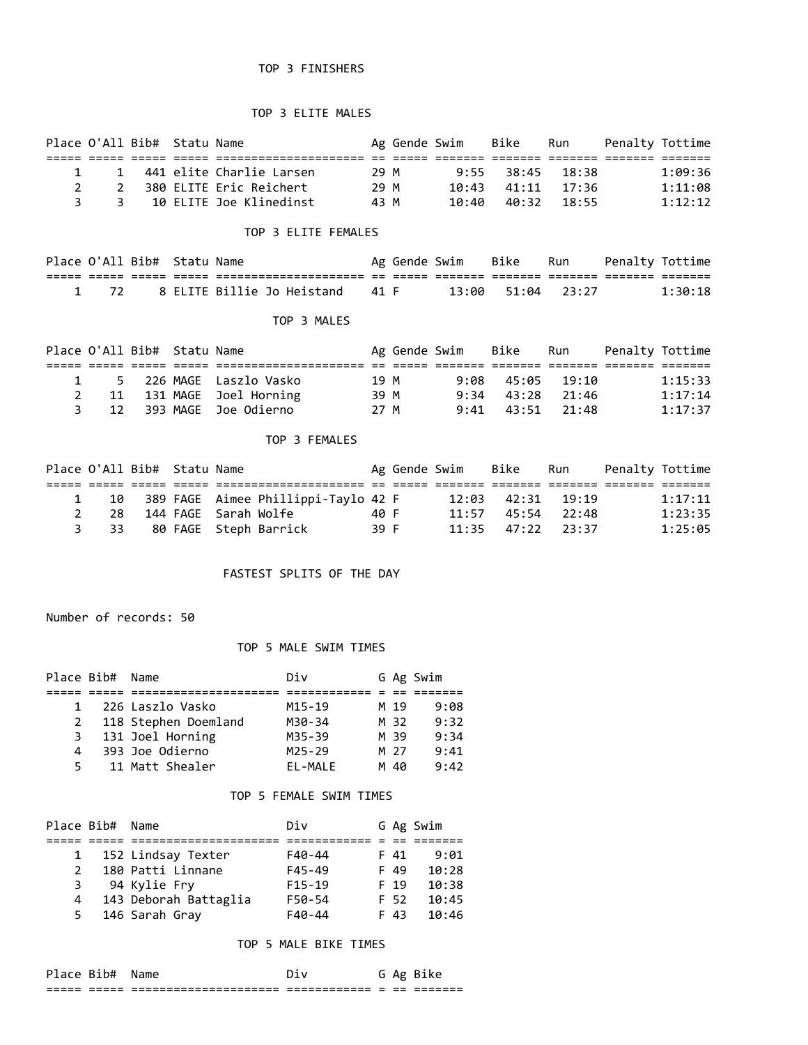## TOP 3 FINISHERS

### TOP 3 ELITE MALES

|    | Place O'All Bib# Statu Name |                            |      | Ag Gende Swim |       | Bike                    | Run | Penalty Tottime |
|----|-----------------------------|----------------------------|------|---------------|-------|-------------------------|-----|-----------------|
|    |                             |                            |      |               |       |                         |     |                 |
|    |                             | 1 441 elite Charlie Larsen | 29 M |               |       | $9:55$ $38:45$ $18:38$  |     | 1:09:36         |
|    |                             | - 380 ELITE Eric Reichert  | 29 M |               |       | $10:43$ $41:11$ $17:36$ |     | 1:11:08         |
| -3 |                             | 10 ELITE Joe Klinedinst    | 43 M |               | 10:40 | 40:32 18:55             |     | 1:12:12         |

### TOP 3 ELITE FEMALES

|  | Place O'All Bib# Statu Name |                                      |  |                   | Ag Gende Swim Bike Run Penalty Tottime |         |
|--|-----------------------------|--------------------------------------|--|-------------------|----------------------------------------|---------|
|  |                             | _____________________                |  |                   |                                        |         |
|  |                             | 1 72 8 ELITE Billie Jo Heistand 41 F |  | 13:00 51:04 23:27 |                                        | 1:30:18 |

#### TOP 3 MALES

| Place O'All Bib# Statu Name |  |                           |      | Ag Gende Swim | Bike                   | Run | Penalty Tottime |         |
|-----------------------------|--|---------------------------|------|---------------|------------------------|-----|-----------------|---------|
|                             |  |                           |      |               |                        |     |                 |         |
|                             |  | 1 5 226 MAGE Laszlo Vasko | 19 M |               | $9:08$ $45:05$ $19:10$ |     |                 | 1:15:33 |
|                             |  | 11 131 MAGE Joel Horning  | 39 M |               | $9:34$ $43:28$ $21:46$ |     |                 | 1:17:14 |
|                             |  | 3 12 393 MAGE Joe Odierno | 27 M |               | $9:41$ $43:51$ $21:48$ |     |                 | 1:17:37 |

#### TOP 3 FEMALES

| Place O'All Bib# Statu Name |  |                                        |      | Ag Gende Swim | Bike                    | Run | Penalty Tottime |         |
|-----------------------------|--|----------------------------------------|------|---------------|-------------------------|-----|-----------------|---------|
|                             |  |                                        |      |               |                         |     |                 |         |
|                             |  | 10 389 FAGE Aimee Phillippi-Taylo 42 F |      |               | $12:03$ $42:31$ $19:19$ |     |                 | 1:17:11 |
| - 28                        |  | 144 FAGE  Sarah Wolfe                  | 40 F |               | $11:57$ $45:54$ $22:48$ |     |                 | 1:23:35 |
| 3 33                        |  | 80 FAGE   Steph Barrick                | 39 F |               | $11:35$ $47:22$ $23:37$ |     |                 | 1:25:05 |

### FASTEST SPLITS OF THE DAY

Number of records: 50

#### TOP 5 MALE SWIM TIMES

| Place Bib# Name |                      | Div        |      | G Ag Swim |
|-----------------|----------------------|------------|------|-----------|
|                 |                      |            |      |           |
| $\mathbf{1}$    | 226 Laszlo Vasko     | M15-19     | M 19 | 9:08      |
| $2^{\circ}$     | 118 Stephen Doemland | M30-34     | M 32 | 9:32      |
| 3               | 131 Joel Horning     | M35-39     | M 39 | 9:34      |
| 4               | 393 Joe Odierno      | $M25 - 29$ | M 27 | 9:41      |
| 5.              | 11 Matt Shealer      | EL-MALE    | M 40 | 9:42      |

#### TOP 5 FEMALE SWIM TIMES

| Place Bib#    | Name                  | Div        |      | G Ag Swim |
|---------------|-----------------------|------------|------|-----------|
|               |                       |            |      |           |
|               | 152 Lindsay Texter    | F40-44     | F 41 | 9:01      |
| $\mathcal{P}$ | 180 Patti Linnane     | $F45 - 49$ | F 49 | 10:28     |
| 3             | 94 Kylie Fry          | $F15-19$   | F 19 | 10:38     |
| 4             | 143 Deborah Battaglia | F50-54     | F 52 | 10:45     |
| 5.            | 146 Sarah Gray        | $F40 - 44$ | F 43 | 10:46     |

### TOP 5 MALE BIKE TIMES

| Place Bib#  |           | Name                                                    |                              |                          |               | G Ag Bike           |
|-------------|-----------|---------------------------------------------------------|------------------------------|--------------------------|---------------|---------------------|
| ----<br>--- | __<br>--- | ---------------------<br>_________________<br>___<br>__ | ____________<br>____________ | $\overline{\phantom{a}}$ | $ -$<br>$- -$ | _______<br>________ |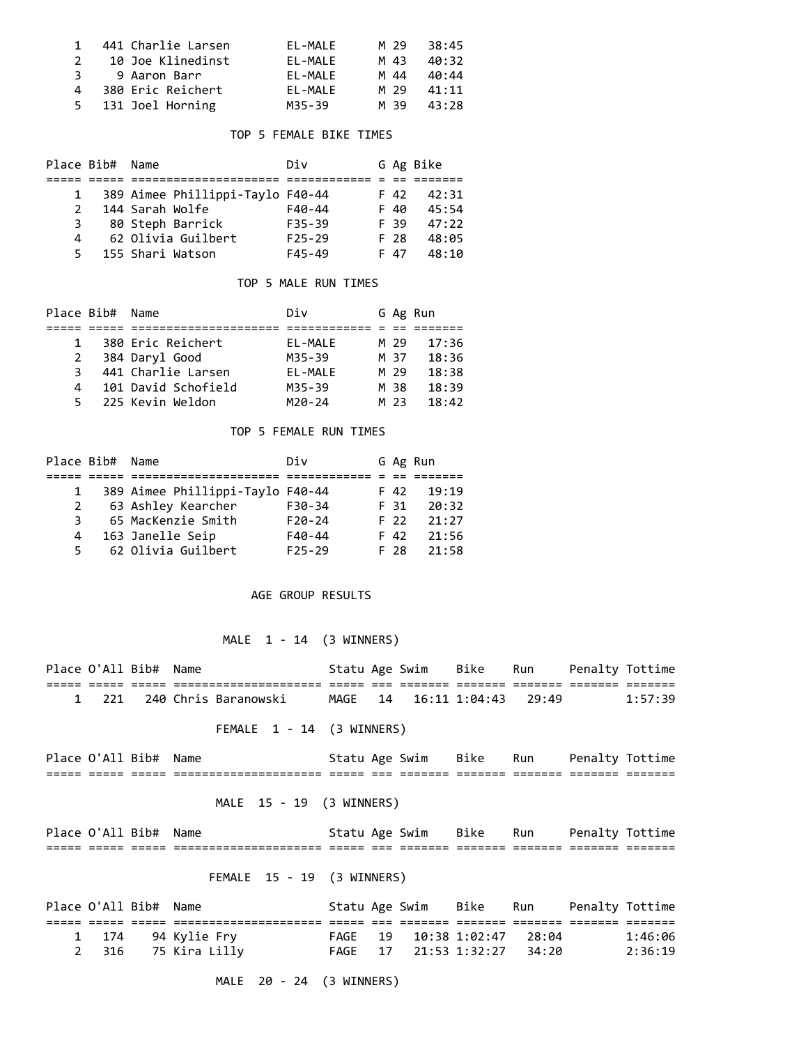| $\mathbf{1}$ | 441 Charlie Larsen | EL-MALE     | M 29 | 38:45 |
|--------------|--------------------|-------------|------|-------|
| 2            | 10 Joe Klinedinst  | FI-MAIF     | M 43 | 40:32 |
| 3            | 9 Aaron Barr       | $FI - MAIF$ | M 44 | 40:44 |
| 4            | 380 Eric Reichert  | FI-MAIF     | M 29 | 41:11 |
|              | 5 131 Joel Horning | M35-39      | M 39 | 43:28 |

### TOP 5 FEMALE BIKE TIMES

|               | Place Bib# Name |                                  | Div        |      | G Ag Bike |
|---------------|-----------------|----------------------------------|------------|------|-----------|
|               |                 |                                  |            |      |           |
|               |                 | 389 Aimee Phillippi-Taylo F40-44 |            | F 42 | 42:31     |
| $\mathcal{L}$ |                 | 144 Sarah Wolfe                  | $F40-44$   | F 40 | 45:54     |
| 3             |                 | 80 Steph Barrick                 | $F35 - 39$ | F 39 | 47:22     |
| 4             |                 | 62 Olivia Guilbert               | $F25-29$   | F 28 | 48:05     |
| 5.            |                 | 155 Shari Watson                 | $F45 - 49$ | F 47 | 48:10     |

## TOP 5 MALE RUN TIMES

| Place Bib# | Name                | Div        |      | G Ag Run |
|------------|---------------------|------------|------|----------|
|            |                     |            |      |          |
| 1          | 380 Eric Reichert   | EL-MALE    | M 29 | 17:36    |
| 2          | 384 Daryl Good      | M35-39     | M 37 | 18:36    |
| ٦.         | 441 Charlie Larsen  | EL-MALE    | M 29 | 18:38    |
| 4          | 101 David Schofield | M35-39     | M 38 | 18:39    |
| 5.         | 225 Kevin Weldon    | $M20 - 24$ | M 23 | 18:42    |

#### TOP 5 FEMALE RUN TIMES

| Place Bib# | Name                             | Div      |      | G Ag Run |
|------------|----------------------------------|----------|------|----------|
|            |                                  |          |      |          |
|            | 389 Aimee Phillippi-Taylo F40-44 |          | F 42 | 19:19    |
| 2          | 63 Ashley Kearcher               | $F30-34$ | F 31 | 20:32    |
| 3          | 65 MacKenzie Smith               | $F20-24$ | F 22 | 21:27    |
| 4          | 163 Janelle Seip                 | $F40-44$ | F 42 | 21:56    |
| 5          | 62 Olivia Guilbert               | $F25-29$ | F 28 | 21:58    |

### AGE GROUP RESULTS

# MALE 1 - 14 (3 WINNERS)

|              | Place O'All Bib# Name |  |                           |  |                     | Statu Age Swim Bike Run |       | Penalty Tottime |         |
|--------------|-----------------------|--|---------------------------|--|---------------------|-------------------------|-------|-----------------|---------|
|              |                       |  |                           |  |                     |                         |       |                 |         |
| $\mathbf{1}$ | 221                   |  | 240 Chris Baranowski      |  |                     | MAGE 14 16:11 1:04:43   | 29:49 |                 | 1:57:39 |
|              |                       |  | FEMALE 1 - 14 (3 WINNERS) |  |                     |                         |       |                 |         |
|              | Place O'All Bib# Name |  |                           |  | Statu Age Swim Bike |                         | Run   | Penalty Tottime |         |
|              |                       |  |                           |  |                     |                         |       |                 |         |
|              |                       |  | MALE 15 - 19 (3 WINNERS)  |  |                     |                         |       |                 |         |
|              | Place O'All Bib# Name |  |                           |  | Statu Age Swim Bike |                         | Run   | Penalty Tottime |         |
|              |                       |  |                           |  |                     |                         |       |                 |         |
|              |                       |  |                           |  |                     |                         |       |                 |         |

# FEMALE 15 - 19 (3 WINNERS)

| Place O'All Bib# Name |                     |  | Statu Age Swim - Bike - Run | Penalty Tottime |         |
|-----------------------|---------------------|--|-----------------------------|-----------------|---------|
|                       |                     |  |                             |                 |         |
|                       | 1 174 94 Kylie Fry  |  | FAGE 19 10:38 1:02:47 28:04 |                 | 1:46:06 |
|                       | 2 316 75 Kira Lilly |  | FAGE 17 21:53 1:32:27 34:20 |                 | 2:36:19 |

MALE 20 - 24 (3 WINNERS)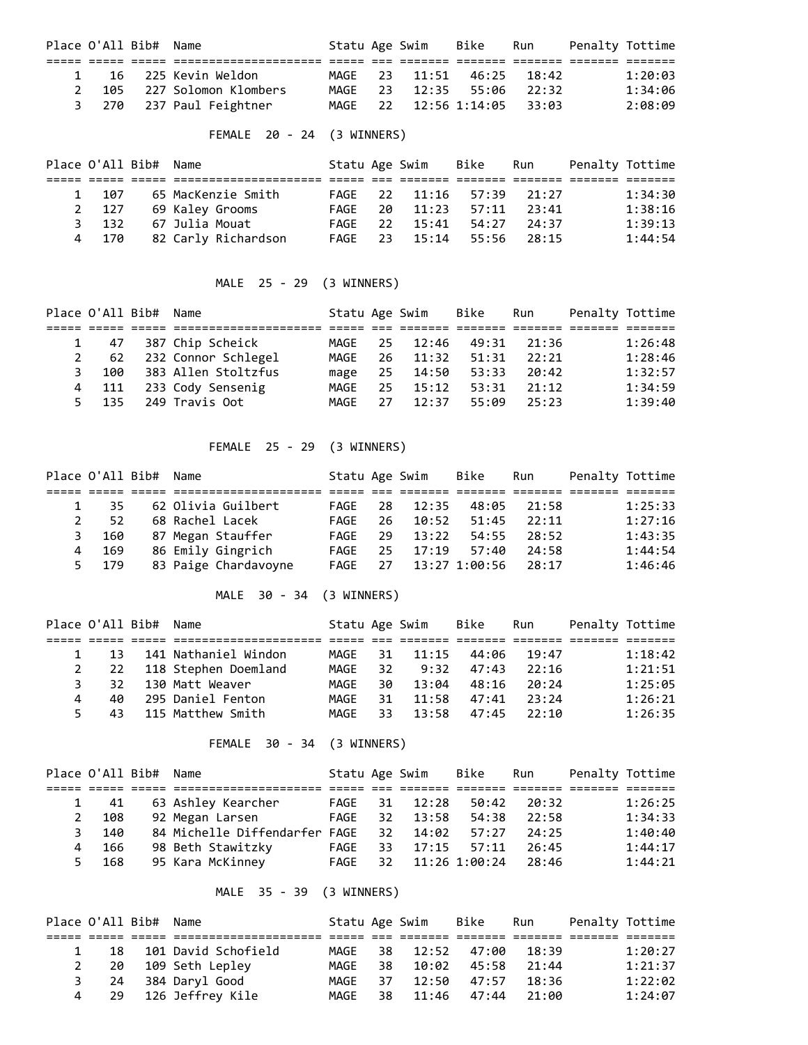| Place O'All Bib# Name |                            |      | Statu Age Swim - Bike |                             | Run | Penalty Tottime |
|-----------------------|----------------------------|------|-----------------------|-----------------------------|-----|-----------------|
|                       |                            |      |                       |                             |     |                 |
|                       | 1 16 225 Kevin Weldon      |      |                       | MAGE 23 11:51 46:25 18:42   |     | 1:20:03         |
|                       | 2 105 227 Solomon Klombers | MAGE |                       | 23 12:35 55:06 22:32        |     | 1:34:06         |
|                       | 3 270 237 Paul Feightner   |      |                       | MAGE 22 12:56 1:14:05 33:03 |     | 2:08:09         |

# FEMALE 20 - 24 (3 WINNERS)

|       | Place O'All Bib# Name |                     | Statu Age Swim |    |          | Bike                 | Run         | Penalty Tottime |         |
|-------|-----------------------|---------------------|----------------|----|----------|----------------------|-------------|-----------------|---------|
|       |                       |                     |                |    |          |                      |             |                 |         |
| 1 107 |                       | 65 MacKenzie Smith  | FAGF           |    | 22 11:16 |                      | 57:39 21:27 |                 | 1:34:30 |
| 2 127 |                       | 69 Kaley Grooms     | FAGE           | 20 | 11:23    | 57:11                | 23:41       |                 | 1:38:16 |
| 3 132 |                       | 67 Julia Mouat      | FAGF           | 22 | 15:41    | 54:27                | 24:37       |                 | 1:39:13 |
| 4 170 |                       | 82 Carly Richardson | FAGE           |    |          | 23 15:14 55:56 28:15 |             |                 | 1:44:54 |

# MALE 25 - 29 (3 WINNERS)

|   | Place O'All Bib# Name |                     | Statu Age Swim |     |       | Bike  | Run   | Penalty Tottime |         |
|---|-----------------------|---------------------|----------------|-----|-------|-------|-------|-----------------|---------|
|   |                       |                     |                |     |       |       |       |                 |         |
|   | 47                    | 387 Chip Scheick    | MAGE           | 25  | 12:46 | 49:31 | 21:36 |                 | 1:26:48 |
|   | 62                    | 232 Connor Schlegel | MAGE           | 26. | 11:32 | 51:31 | 22:21 |                 | 1:28:46 |
| 3 | 100                   | 383 Allen Stoltzfus | mage           | 25  | 14:50 | 53:33 | 20:42 |                 | 1:32:57 |
|   | 4 111                 | 233 Cody Sensenig   | MAGE           | 25. | 15:12 | 53:31 | 21:12 |                 | 1:34:59 |
|   | 135<br>5.             | 249 Travis Oot      | MAGE           | 27  | 12:37 | 55:09 | 25:23 |                 | 1:39:40 |

## FEMALE 25 - 29 (3 WINNERS)

|   | Place O'All Bib# Name |                      | Statu Age Swim |     |                  | Bike  | Run   | Penalty Tottime |
|---|-----------------------|----------------------|----------------|-----|------------------|-------|-------|-----------------|
|   |                       |                      |                |     |                  |       |       |                 |
|   | -35                   | 62 Olivia Guilbert   | FAGF           | -28 | 12:35            | 48:05 | 21:58 | 1:25:33         |
| 2 | 52                    | 68 Rachel Lacek      | FAGF           | 26. | 10:52            | 51:45 | 22:11 | 1:27:16         |
| 3 | 160                   | 87 Megan Stauffer    | FAGE           | 29  | 13:22            | 54:55 | 28:52 | 1:43:35         |
| 4 | - 169                 | 86 Emily Gingrich    | FAGE           | 25  | 17:19            | 57:40 | 24:58 | 1:44:54         |
|   | 5 179                 | 83 Paige Chardavoyne | FAGE           |     | 27 13:27 1:00:56 |       | 28:17 | 1:46:46         |

# MALE 30 - 34 (3 WINNERS)

|              | Place O'All Bib# Name |                      | Statu Age Swim |     |       | Bike  | Run   | Penalty Tottime |         |
|--------------|-----------------------|----------------------|----------------|-----|-------|-------|-------|-----------------|---------|
|              |                       |                      |                |     |       |       |       |                 |         |
| $\mathbf{1}$ | 13                    | 141 Nathaniel Windon | MAGF           | 31  | 11:15 | 44:06 | 19:47 |                 | 1:18:42 |
|              | 22                    | 118 Stephen Doemland | MAGF           | 32  | 9:32  | 47:43 | 22:16 |                 | 1:21:51 |
| 3            | 32.                   | 130 Matt Weaver      | MAGF           | 30. | 13:04 | 48:16 | 20:24 |                 | 1:25:05 |
| 4            | 40                    | 295 Daniel Fenton    | MAGE           | 31  | 11:58 | 47:41 | 23:24 |                 | 1:26:21 |
|              | 43<br>5.              | 115 Matthew Smith    | MAGF           | 33. | 13:58 | 47:45 | 22:10 |                 | 1:26:35 |

# FEMALE 30 - 34 (3 WINNERS)

|    | Place O'All Bib# Name |                               | Statu Age Swim |     |                  | Bike  | Run   | Penalty Tottime |         |
|----|-----------------------|-------------------------------|----------------|-----|------------------|-------|-------|-----------------|---------|
|    |                       |                               |                |     |                  |       |       |                 |         |
|    | 41                    | 63 Ashley Kearcher            | FAGE           | 31  | 12:28            | 50:42 | 20:32 |                 | 1:26:25 |
| 2  | 108                   | 92 Megan Larsen               | FAGE           | 32  | 13:58            | 54:38 | 22:58 |                 | 1:34:33 |
| 3. | 140                   | 84 Michelle Diffendarfer FAGE |                | 32  | 14:02            | 57:27 | 24:25 |                 | 1:40:40 |
| 4  | 166                   | 98 Beth Stawitzky             | FAGE           | 33. | 17:15            | 57:11 | 26:45 |                 | 1:44:17 |
| 5. | 168                   | 95 Kara McKinney              | FAGE           |     | 32 11:26 1:00:24 |       | 28:46 |                 | 1:44:21 |

# MALE 35 - 39 (3 WINNERS)

| Place O'All Bib# Name |     |                     | Statu Age Swim |      |       | Bike        | Run   | Penalty Tottime |         |
|-----------------------|-----|---------------------|----------------|------|-------|-------------|-------|-----------------|---------|
|                       |     |                     |                |      |       |             |       |                 |         |
|                       | 18  | 101 David Schofield | MAGF           | - 38 | 12:52 | 47:00       | 18:39 |                 | 1:20:27 |
|                       | -20 | 109 Seth Leplev     | MAGE           | 38   |       | 10:02 45:58 | 21:44 |                 | 1:21:37 |
| 3                     | -24 | 384 Daryl Good      | MAGE           | 37   | 12:50 | 47:57       | 18:36 |                 | 1:22:02 |
|                       |     | 29 126 Jeffrey Kile | MAGE           | 38   | 11:46 | 47:44       | 21:00 |                 | 1:24:07 |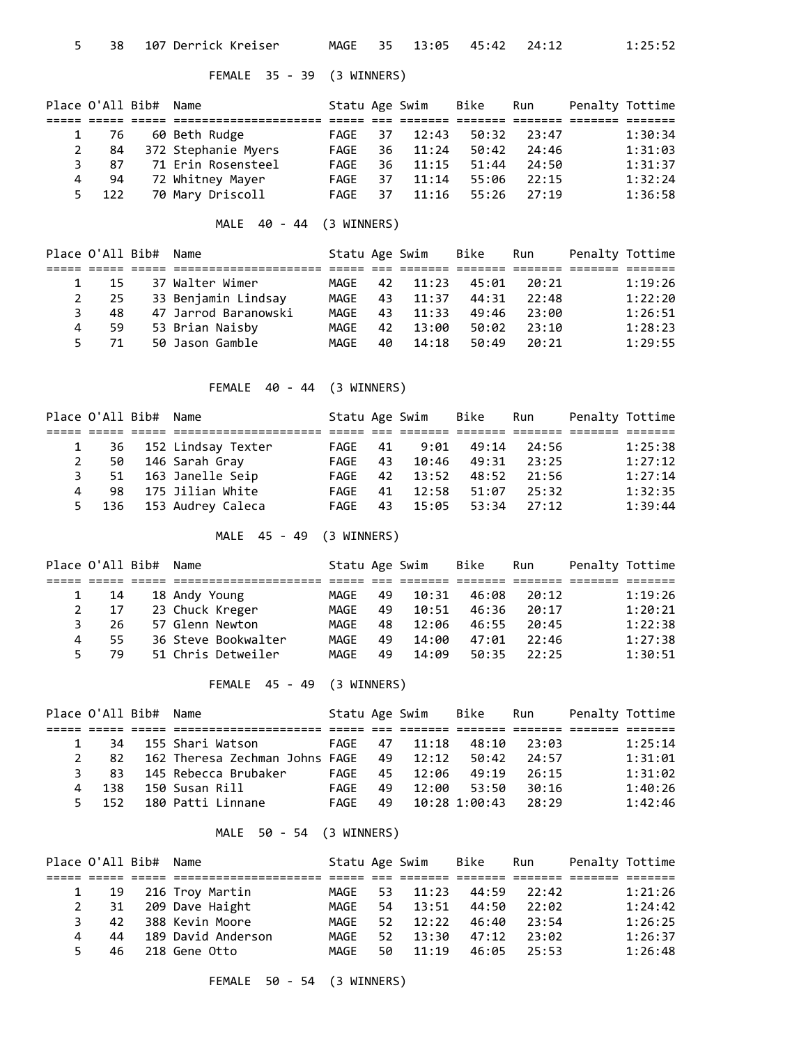# FEMALE 35 - 39 (3 WINNERS)

|    | Place O'All Bib# Name |                     | Statu Age Swim |    |       | Bike  | Run   | Penalty Tottime |         |
|----|-----------------------|---------------------|----------------|----|-------|-------|-------|-----------------|---------|
|    |                       |                     |                |    |       |       |       |                 |         |
|    | -76                   | 60 Beth Rudge       | FAGE           | 37 | 12:43 | 50:32 | 23:47 |                 | 1:30:34 |
| 2  | 84                    | 372 Stephanie Myers | FAGE           | 36 | 11:24 | 50:42 | 24:46 |                 | 1:31:03 |
| 3  | 87                    | 71 Erin Rosensteel  | FAGE           | 36 | 11:15 | 51:44 | 24:50 |                 | 1:31:37 |
| 4  | 94                    | 72 Whitney Mayer    | FAGE           | 37 | 11:14 | 55:06 | 22:15 |                 | 1:32:24 |
| 5. | 122                   | 70 Mary Driscoll    | FAGE           | 37 | 11:16 | 55:26 | 27:19 |                 | 1:36:58 |

MALE 40 - 44 (3 WINNERS)

|    | Place O'All Bib# Name |                      | Statu Age Swim |    |       | Bike  | Run   | Penalty Tottime |         |
|----|-----------------------|----------------------|----------------|----|-------|-------|-------|-----------------|---------|
|    |                       |                      |                |    |       |       |       |                 |         |
|    | 15                    | 37 Walter Wimer      | MAGE           | 42 | 11:23 | 45:01 | 20:21 |                 | 1:19:26 |
|    | 25                    | 33 Benjamin Lindsay  | MAGF           | 43 | 11:37 | 44:31 | 22:48 |                 | 1:22:20 |
| 3  | 48                    | 47 Jarrod Baranowski | MAGF           | 43 | 11:33 | 49:46 | 23:00 |                 | 1:26:51 |
| 4  | 59                    | 53 Brian Naisby      | MAGE           | 42 | 13:00 | 50:02 | 23:10 |                 | 1:28:23 |
| 5. | 71                    | 50 Jason Gamble      | MAGE           | 40 | 14:18 | 50:49 | 20:21 |                 | 1:29:55 |

FEMALE 40 - 44 (3 WINNERS)

|   | Place O'All Bib# Name |                         | Statu Age Swim |    |          | Bike  | Run     | Penalty Tottime |         |
|---|-----------------------|-------------------------|----------------|----|----------|-------|---------|-----------------|---------|
|   |                       |                         |                |    |          |       |         |                 |         |
|   |                       | 36 152 Lindsay Texter   | FAGE           | 41 | 9:01     | 49:14 | - 24:56 |                 | 1:25:38 |
| 2 | 50                    | 146 Sarah Gray          | FAGE           | 43 | 10:46    | 49:31 | 23:25   |                 | 1:27:12 |
|   | 3                     | 51 163 Janelle Seip     | FAGE           |    | 42 13:52 | 48:52 | 21:56   |                 | 1:27:14 |
| 4 | 98.                   | 175 Jilian White        | FAGE           | 41 | 12:58    | 51:07 | 25:32   |                 | 1:32:35 |
|   |                       | 5 136 153 Audrey Caleca | FAGE           | 43 | 15:05    | 53:34 | 27:12   |                 | 1:39:44 |

# MALE 45 - 49 (3 WINNERS)

|    | Place O'All Bib# Name |                     | Statu Age Swim |    |       | Bike  | Run   | Penalty Tottime |         |
|----|-----------------------|---------------------|----------------|----|-------|-------|-------|-----------------|---------|
|    |                       |                     |                |    |       |       |       |                 |         |
|    | -14                   | 18 Andy Young       | MAGF           | 49 | 10:31 | 46:08 | 20:12 |                 | 1:19:26 |
|    | 17                    | 23 Chuck Kreger     | MAGF           | 49 | 10:51 | 46:36 | 20:17 |                 | 1:20:21 |
| 3. | 26                    | 57 Glenn Newton     | MAGE           | 48 | 12:06 | 46:55 | 20:45 |                 | 1:22:38 |
| 4  | 55.                   | 36 Steve Bookwalter | MAGF           | 49 | 14:00 | 47:01 | 22:46 |                 | 1:27:38 |
| 5. | 79                    | 51 Chris Detweiler  | MAGF           | 49 | 14:09 | 50:35 | 22:25 |                 | 1:30:51 |

### FEMALE 45 - 49 (3 WINNERS)

|    |       | Place O'All Bib# Name |                                | Statu Age Swim |    |          | Bike          | Run   | Penalty Tottime |
|----|-------|-----------------------|--------------------------------|----------------|----|----------|---------------|-------|-----------------|
|    |       |                       |                                |                |    |          |               |       |                 |
|    | 34    |                       | 155 Shari Watson               | FAGE           | 47 | 11:18    | 48:10         | 23:03 | 1:25:14         |
|    | 82.   |                       | 162 Theresa Zechman Johns FAGE |                |    | 49 12:12 | 50:42         | 24:57 | 1:31:01         |
| 3. | 83.   |                       | 145 Rebecca Brubaker           | FAGE           | 45 | 12:06    | 49:19         | 26:15 | 1:31:02         |
| 4  | 138   |                       | 150 Susan Rill                 | FAGF           | 49 | 12:00    | 53:50         | 30:16 | 1:40:26         |
|    | 5 152 |                       | 180 Patti Linnane              | FAGF           | 49 |          | 10:28 1:00:43 | 28:29 | 1:42:46         |

### MALE 50 - 54 (3 WINNERS)

|              | Place O'All Bib# Name |                    | Statu Age Swim |     |       | Bike  | Run   | Penalty Tottime |         |
|--------------|-----------------------|--------------------|----------------|-----|-------|-------|-------|-----------------|---------|
|              |                       |                    |                |     |       |       |       |                 |         |
|              |                       | 19 216 Troy Martin | MAGF           | 53. | 11:23 | 44:59 | 22:42 |                 | 1:21:26 |
| $\mathbf{2}$ | 31                    | 209 Dave Haight    | MAGE           | 54  | 13:51 | 44:50 | 22:02 |                 | 1:24:42 |
| 3.           | 42                    | 388 Kevin Moore    | MAGF           | 52  | 12:22 | 46:40 | 23:54 |                 | 1:26:25 |
| 4            | 44                    | 189 David Anderson | MAGF           | 52. | 13:30 | 47:12 | 23:02 |                 | 1:26:37 |
| 5.           | 46.                   | 218 Gene Otto      | MAGF           | 50  | 11:19 | 46:05 | 25:53 |                 | 1:26:48 |

FEMALE 50 - 54 (3 WINNERS)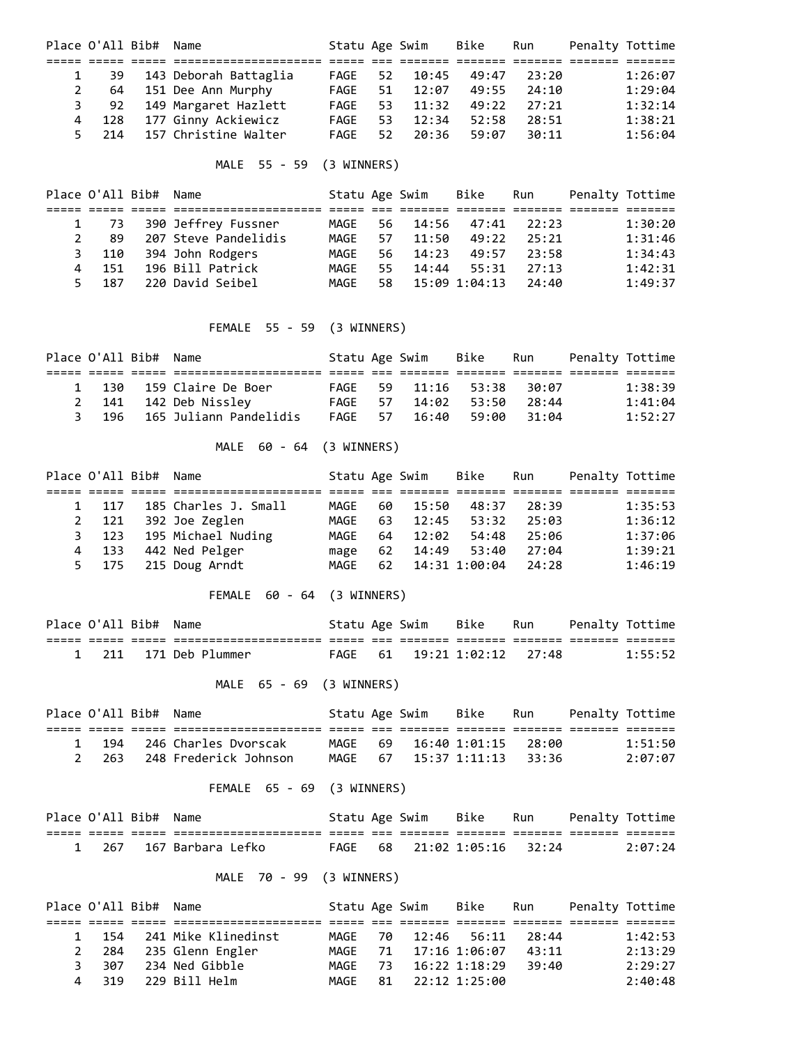| Place O'All Bib# Name |     |                          | Statu Age Swim |     |       | Bike  | Run   | Penalty Tottime |         |
|-----------------------|-----|--------------------------|----------------|-----|-------|-------|-------|-----------------|---------|
|                       |     |                          |                |     |       |       |       |                 |         |
|                       | 39  | 143 Deborah Battaglia    | FAGE           | 52  | 10:45 | 49:47 | 23:20 |                 | 1:26:07 |
|                       | 64  | 151 Dee Ann Murphy       | FAGE           | 51  | 12:07 | 49:55 | 24:10 |                 | 1:29:04 |
| 3                     |     | 92 149 Margaret Hazlett  | FAGE           | 53. | 11:32 | 49:22 | 27:21 |                 | 1:32:14 |
| 4                     | 128 | 177 Ginny Ackiewicz      | FAGE           | 53. | 12:34 | 52:58 | 28:51 |                 | 1:38:21 |
|                       |     | 214 157 Christine Walter | FAGF           | 52  | 20:36 | 59:07 | 30:11 |                 | 1:56:04 |

# MALE 55 - 59 (3 WINNERS)

|                | Place O'All Bib# Name |                      | Statu Age Swim |      |       | Bike          | Run   | Penalty Tottime |         |
|----------------|-----------------------|----------------------|----------------|------|-------|---------------|-------|-----------------|---------|
|                |                       |                      |                |      |       |               |       |                 |         |
|                | 73                    | 390 Jeffrey Fussner  | MAGE           | 56   | 14:56 | 47:41         | 22:23 |                 | 1:30:20 |
| 2              | 89                    | 207 Steve Pandelidis | MAGF           | 57   | 11:50 | 49:22         | 25:21 |                 | 1:31:46 |
| 3              | 110                   | 394 John Rodgers     | MAGE           | 56 - | 14:23 | 49:57         | 23:58 |                 | 1:34:43 |
| $\overline{4}$ | 151                   | 196 Bill Patrick     | MAGF           | 55.  | 14:44 | 55:31         | 27:13 |                 | 1:42:31 |
| 5.             | 187                   | 220 David Seibel     | MAGF           | 58.  |       | 15:09 1:04:13 | 24:40 |                 | 1:49:37 |

## FEMALE 55 - 59 (3 WINNERS)

| Place O'All Bib# Name |                              | Statu Age Swim |               | Bike | Run         | Penalty Tottime |         |
|-----------------------|------------------------------|----------------|---------------|------|-------------|-----------------|---------|
|                       |                              |                |               |      |             |                 |         |
|                       | 1 130 159 Claire De Boer     |                | FAGE 59 11:16 |      | 53:38 30:07 |                 | 1:38:39 |
|                       | 2 141 142 Deb Nissley        |                | FAGE 57 14:02 |      | 53:50 28:44 |                 | 1:41:04 |
|                       | 3 196 165 Juliann Pandelidis |                | FAGE 57 16:40 |      | 59:00 31:04 |                 | 1:52:27 |

## MALE 60 - 64 (3 WINNERS)

| Place O'All Bib# Name |                      | Statu Age Swim |     |       | Bike          | Run   | Penalty Tottime |  |
|-----------------------|----------------------|----------------|-----|-------|---------------|-------|-----------------|--|
|                       |                      |                |     |       |               |       |                 |  |
| 1 117                 | 185 Charles J. Small | MAGF           | 60. | 15:50 | 48:37         | 28:39 | 1:35:53         |  |
| 2 121                 | 392 Joe Zeglen       | MAGF           | 63  | 12:45 | 53:32         | 25:03 | 1:36:12         |  |
| 3 123                 | 195 Michael Nuding   | MAGE           | 64  | 12:02 | 54:48         | 25:06 | 1:37:06         |  |
| 4 133                 | 442 Ned Pelger       | mage           | 62  | 14:49 | 53:40         | 27:04 | 1:39:21         |  |
| 5 175                 | 215 Doug Arndt       | MAGE           | 62  |       | 14:31 1:00:04 | 24:28 | 1:46:19         |  |

# FEMALE 60 - 64 (3 WINNERS)

|  | Place O'All Bib# Name |                       |  | Statu Age Swim    Bike   .  | Run | Penalty Tottime |
|--|-----------------------|-----------------------|--|-----------------------------|-----|-----------------|
|  |                       |                       |  |                             |     |                 |
|  |                       | 1 211 171 Deb Plummer |  | FAGE 61 19:21 1:02:12 27:48 |     | 1:55:52         |

# MALE 65 - 69 (3 WINNERS)

|  | Place O'All Bib# Name |                             | Statu Age Swim |                             | Bike | Run | Penalty Tottime |         |
|--|-----------------------|-----------------------------|----------------|-----------------------------|------|-----|-----------------|---------|
|  |                       |                             |                |                             |      |     |                 |         |
|  |                       | 1 194 246 Charles Dvorscak  |                | MAGE 69 16:40 1:01:15 28:00 |      |     |                 | 1:51:50 |
|  |                       | 2 263 248 Frederick Johnson |                | MAGE 67 15:37 1:11:13 33:36 |      |     |                 | 2:07:07 |

## FEMALE 65 - 69 (3 WINNERS)

|  | Place O'All Bib# Name |                         |  |                             |  | Statu Age Swim Bike Run Penalty Tottime |         |
|--|-----------------------|-------------------------|--|-----------------------------|--|-----------------------------------------|---------|
|  |                       | ---------------------   |  |                             |  |                                         |         |
|  |                       | 1 267 167 Barbara Lefko |  | FAGE 68 21:02 1:05:16 32:24 |  |                                         | 2:07:24 |

# MALE 70 - 99 (3 WINNERS)

| Place O'All Bib# Name |                           | Statu Age Swim |    |                  | Bike          | Run       | Penalty Tottime |         |
|-----------------------|---------------------------|----------------|----|------------------|---------------|-----------|-----------------|---------|
|                       |                           |                |    |                  |               |           |                 |         |
|                       | 1 154 241 Mike Klinedinst | MAGF           | 70 |                  | 12:46 56:11   | - 28 : 44 |                 | 1:42:53 |
|                       | 2 284 235 Glenn Engler    | MAGE           |    | 71 17:16 1:06:07 |               | 43:11     |                 | 2:13:29 |
| 3 307                 | 234 Ned Gibble            | MAGF           | 73 |                  | 16:22 1:18:29 | 39:40     |                 | 2:29:27 |
| 319<br>4              | 229 Bill Helm             | MAGF           |    | 81 22:12 1:25:00 |               |           |                 | 2:40:48 |